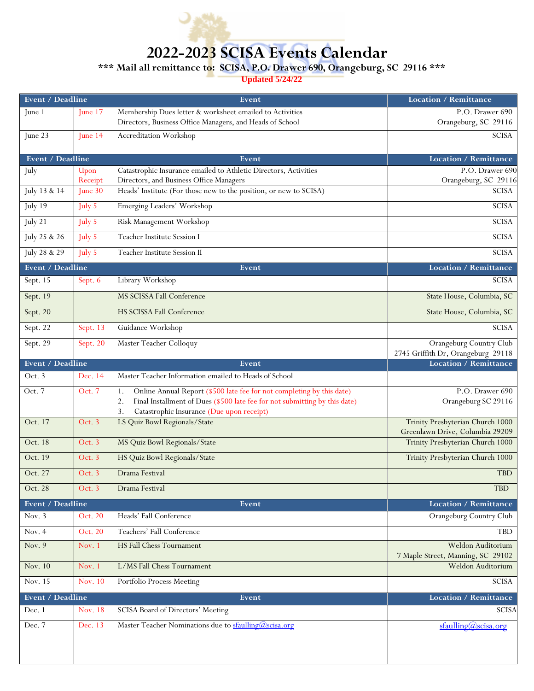

## **2022-2023 SCISA Events Calendar**

**\*\*\* Mail all remittance to: SCISA, P.O. Drawer 690, Orangeburg, SC 29116 \*\*\***

**Updated 5/24/22**

| Event / Deadline        |                      | Event                                                                                                        | <b>Location / Remittance</b>                                        |
|-------------------------|----------------------|--------------------------------------------------------------------------------------------------------------|---------------------------------------------------------------------|
| June 1                  | $\text{June } 17$    | Membership Dues letter & worksheet emailed to Activities                                                     | P.O. Drawer 690                                                     |
|                         |                      | Directors, Business Office Managers, and Heads of School                                                     | Orangeburg, SC 29116                                                |
| June 23                 | $\text{June } 14$    | Accreditation Workshop                                                                                       | <b>SCISA</b>                                                        |
| Event / Deadline        |                      | Event                                                                                                        | <b>Location / Remittance</b>                                        |
| July                    | Upon                 | Catastrophic Insurance emailed to Athletic Directors, Activities                                             | P.O. Drawer 690                                                     |
| July 13 & 14            | Receipt<br>June $30$ | Directors, and Business Office Managers<br>Heads' Institute (For those new to the position, or new to SCISA) | Orangeburg, SC 29116<br><b>SCISA</b>                                |
|                         |                      |                                                                                                              |                                                                     |
| July 19                 | July 5               | Emerging Leaders' Workshop                                                                                   | <b>SCISA</b>                                                        |
| July $\overline{21}$    | July 5               | Risk Management Workshop                                                                                     | <b>SCISA</b>                                                        |
| July 25 & 26            | July 5               | Teacher Institute Session I                                                                                  | <b>SCISA</b>                                                        |
| July 28 & 29            | July 5               | Teacher Institute Session II                                                                                 | <b>SCISA</b>                                                        |
| Event / Deadline        |                      | Event                                                                                                        | <b>Location / Remittance</b>                                        |
| Sept. 15                | Sept. 6              | Library Workshop                                                                                             | <b>SCISA</b>                                                        |
| Sept. 19                |                      | MS SCISSA Fall Conference                                                                                    | State House, Columbia, SC                                           |
| Sept. 20                |                      | <b>HS SCISSA Fall Conference</b>                                                                             | State House, Columbia, SC                                           |
| Sept. 22                | Sept. 13             | Guidance Workshop                                                                                            | SCISA                                                               |
| Sept. 29                | Sept. 20             | Master Teacher Colloquy                                                                                      | Orangeburg Country Club<br>2745 Griffith Dr, Orangeburg 29118       |
| Event / Deadline        |                      | Event                                                                                                        | <b>Location / Remittance</b>                                        |
| Oct. 3                  | Dec. 14              | Master Teacher Information emailed to Heads of School                                                        |                                                                     |
| Oct. 7                  | Oct. 7               | Online Annual Report (\$500 late fee for not completing by this date)<br>1.                                  | P.O. Drawer 690                                                     |
|                         |                      | Final Installment of Dues (\$500 late fee for not submitting by this date)<br>2.                             | Orangeburg SC 29116                                                 |
|                         |                      | 3.<br>Catastrophic Insurance (Due upon receipt)                                                              |                                                                     |
| Oct. 17                 | Oct. 3               | LS Quiz Bowl Regionals/State                                                                                 | Trinity Presbyterian Church 1000<br>Greenlawn Drive, Columbia 29209 |
| Oct. 18                 | Oct. 3               | MS Quiz Bowl Regionals/State                                                                                 | Trinity Presbyterian Church 1000                                    |
| Oct. 19                 | Oct. 3               | HS Quiz Bowl Regionals/State                                                                                 | Trinity Presbyterian Church 1000                                    |
| Oct. 27                 | Oct. 3               | Drama Festival                                                                                               | <b>TBD</b>                                                          |
| Oct. 28                 | Oct. 3               | Drama Festival                                                                                               | <b>TBD</b>                                                          |
| Event / Deadline        |                      | Event                                                                                                        | <b>Location / Remittance</b>                                        |
| Nov. $3$                | Oct. 20              | Heads' Fall Conference                                                                                       | Orangeburg Country Club                                             |
| Nov. 4                  | Oct. 20              | Teachers' Fall Conference                                                                                    | <b>TBD</b>                                                          |
| Nov. 9                  | Nov. 1               | <b>HS Fall Chess Tournament</b>                                                                              | Weldon Auditorium                                                   |
| Nov. 10                 | Nov. $1$             | L/MS Fall Chess Tournament                                                                                   | 7 Maple Street, Manning, SC 29102<br>Weldon Auditorium              |
| Nov. 15                 | Nov. 10              | Portfolio Process Meeting                                                                                    | SCISA                                                               |
| <b>Event / Deadline</b> |                      | Event                                                                                                        | <b>Location / Remittance</b>                                        |
| Dec. 1                  | Nov. 18              | SCISA Board of Directors' Meeting                                                                            | <b>SCISA</b>                                                        |
| Dec. 7                  | Dec. 13              | Master Teacher Nominations due to sfaulling@scisa.org                                                        | $\frac{\text{staulling}(a)\text{scisa.org}}{2}$                     |
|                         |                      |                                                                                                              |                                                                     |